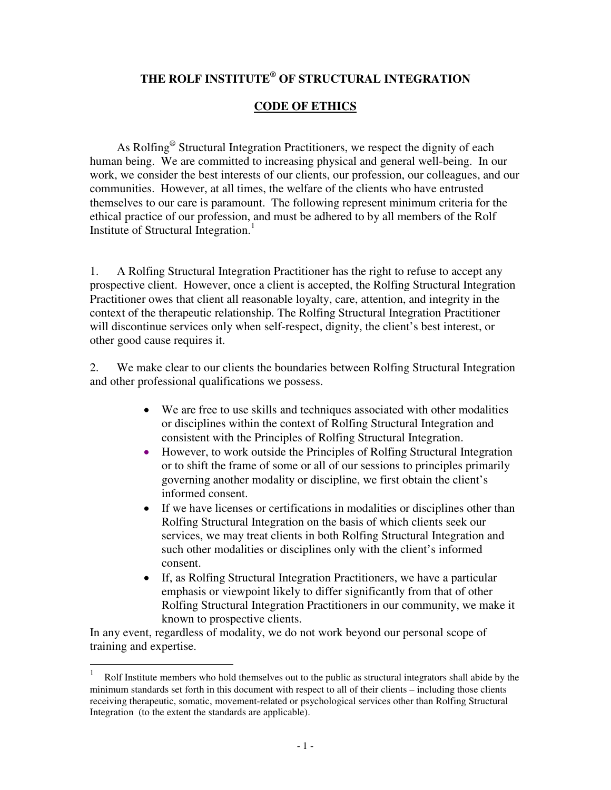## **THE ROLF INSTITUTE ® OF STRUCTURAL INTEGRATION**

## **CODE OF ETHICS**

As Rolfing<sup>®</sup> Structural Integration Practitioners, we respect the dignity of each human being. We are committed to increasing physical and general well-being. In our work, we consider the best interests of our clients, our profession, our colleagues, and our communities. However, at all times, the welfare of the clients who have entrusted themselves to our care is paramount. The following represent minimum criteria for the ethical practice of our profession, and must be adhered to by all members of the Rolf Institute of Structural Integration. 1

1. A Rolfing Structural Integration Practitioner has the right to refuse to accept any prospective client. However, once a client is accepted, the Rolfing Structural Integration Practitioner owes that client all reasonable loyalty, care, attention, and integrity in the context of the therapeutic relationship. The Rolfing Structural Integration Practitioner will discontinue services only when self-respect, dignity, the client's best interest, or other good cause requires it.

2. We make clear to our clients the boundaries between Rolfing Structural Integration and other professional qualifications we possess.

- We are free to use skills and techniques associated with other modalities or disciplines within the context of Rolfing Structural Integration and consistent with the Principles of Rolfing Structural Integration.
- However, to work outside the Principles of Rolfing Structural Integration or to shift the frame of some or all of our sessions to principles primarily governing another modality or discipline, we first obtain the client's informed consent.
- If we have licenses or certifications in modalities or disciplines other than Rolfing Structural Integration on the basis of which clients seek our services, we may treat clients in both Rolfing Structural Integration and such other modalities or disciplines only with the client's informed consent.
- If, as Rolfing Structural Integration Practitioners, we have a particular emphasis or viewpoint likely to differ significantly from that of other Rolfing Structural Integration Practitioners in our community, we make it known to prospective clients.

In any event, regardless of modality, we do not work beyond our personal scope of training and expertise.

 $\overline{a}$ 

<sup>1</sup> Rolf Institute members who hold themselves out to the public as structural integrators shall abide by the minimum standards set forth in this document with respect to all of their clients – including those clients receiving therapeutic, somatic, movement-related or psychological services other than Rolfing Structural Integration (to the extent the standards are applicable).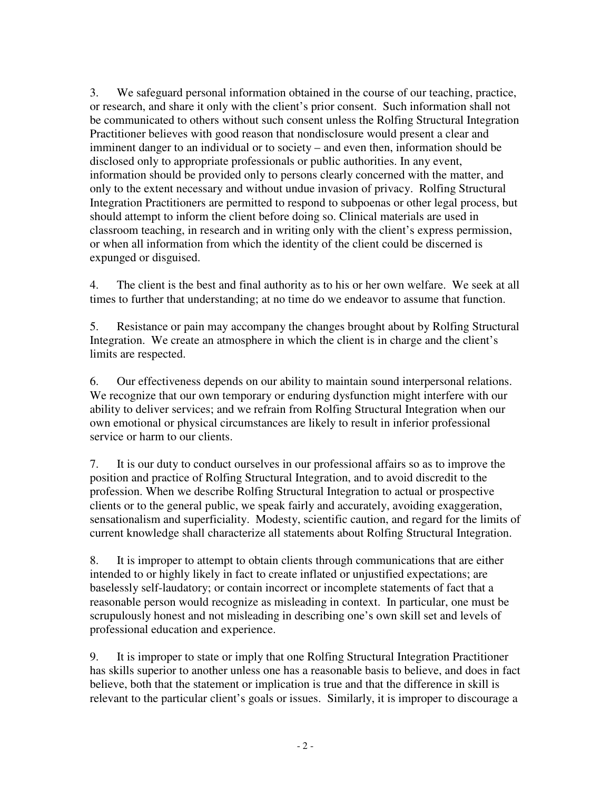3. We safeguard personal information obtained in the course of our teaching, practice, or research, and share it only with the client's prior consent. Such information shall not be communicated to others without such consent unless the Rolfing Structural Integration Practitioner believes with good reason that nondisclosure would present a clear and imminent danger to an individual or to society – and even then, information should be disclosed only to appropriate professionals or public authorities. In any event, information should be provided only to persons clearly concerned with the matter, and only to the extent necessary and without undue invasion of privacy. Rolfing Structural Integration Practitioners are permitted to respond to subpoenas or other legal process, but should attempt to inform the client before doing so. Clinical materials are used in classroom teaching, in research and in writing only with the client's express permission, or when all information from which the identity of the client could be discerned is expunged or disguised.

4. The client is the best and final authority as to his or her own welfare. We seek at all times to further that understanding; at no time do we endeavor to assume that function.

5. Resistance or pain may accompany the changes brought about by Rolfing Structural Integration. We create an atmosphere in which the client is in charge and the client's limits are respected.

6. Our effectiveness depends on our ability to maintain sound interpersonal relations. We recognize that our own temporary or enduring dysfunction might interfere with our ability to deliver services; and we refrain from Rolfing Structural Integration when our own emotional or physical circumstances are likely to result in inferior professional service or harm to our clients.

7. It is our duty to conduct ourselves in our professional affairs so as to improve the position and practice of Rolfing Structural Integration, and to avoid discredit to the profession. When we describe Rolfing Structural Integration to actual or prospective clients or to the general public, we speak fairly and accurately, avoiding exaggeration, sensationalism and superficiality. Modesty, scientific caution, and regard for the limits of current knowledge shall characterize all statements about Rolfing Structural Integration.

8. It is improper to attempt to obtain clients through communications that are either intended to or highly likely in fact to create inflated or unjustified expectations; are baselessly self-laudatory; or contain incorrect or incomplete statements of fact that a reasonable person would recognize as misleading in context. In particular, one must be scrupulously honest and not misleading in describing one's own skill set and levels of professional education and experience.

9. It is improper to state or imply that one Rolfing Structural Integration Practitioner has skills superior to another unless one has a reasonable basis to believe, and does in fact believe, both that the statement or implication is true and that the difference in skill is relevant to the particular client's goals or issues. Similarly, it is improper to discourage a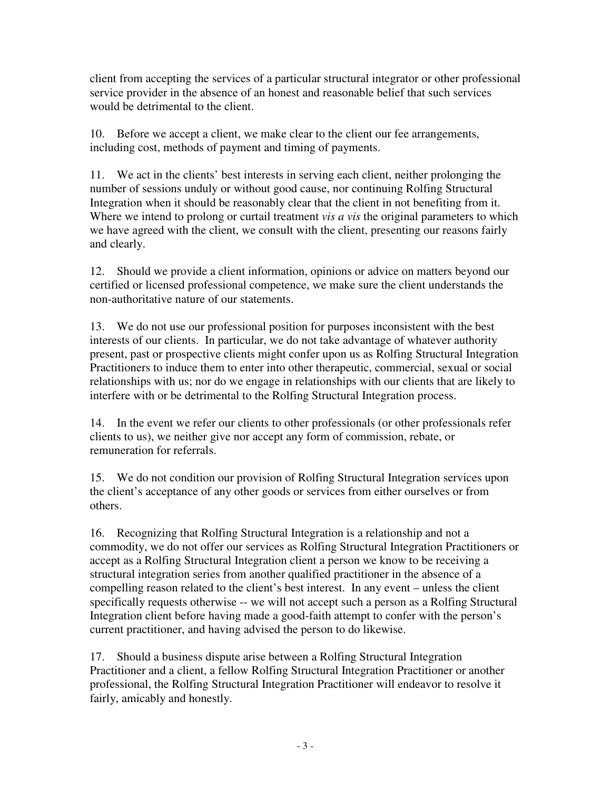client from accepting the services of a particular structural integrator or other professional service provider in the absence of an honest and reasonable belief that such services would be detrimental to the client.

10. Before we accept a client, we make clear to the client our fee arrangements, including cost, methods of payment and timing of payments.

11. We act in the clients' best interests in serving each client, neither prolonging the number of sessions unduly or without good cause, nor continuing Rolfing Structural Integration when it should be reasonably clear that the client in not benefiting from it. Where we intend to prolong or curtail treatment *vis a vis* the original parameters to which we have agreed with the client, we consult with the client, presenting our reasons fairly and clearly.

12. Should we provide a client information, opinions or advice on matters beyond our certified or licensed professional competence, we make sure the client understands the non-authoritative nature of our statements.

13. We do not use our professional position for purposes inconsistent with the best interests of our clients. In particular, we do not take advantage of whatever authority present, past or prospective clients might confer upon us as Rolfing Structural Integration Practitioners to induce them to enter into other therapeutic, commercial, sexual or social relationships with us; nor do we engage in relationships with our clients that are likely to interfere with or be detrimental to the Rolfing Structural Integration process.

14. In the event we refer our clients to other professionals (or other professionals refer clients to us), we neither give nor accept any form of commission, rebate, or remuneration for referrals.

15. We do not condition our provision of Rolfing Structural Integration services upon the client's acceptance of any other goods or services from either ourselves or from others.

16. Recognizing that Rolfing Structural Integration is a relationship and not a commodity, we do not offer our services as Rolfing Structural Integration Practitioners or accept as a Rolfing Structural Integration client a person we know to be receiving a structural integration series from another qualified practitioner in the absence of a compelling reason related to the client's best interest. In any event – unless the client specifically requests otherwise -- we will not accept such a person as a Rolfing Structural Integration client before having made a good-faith attempt to confer with the person's current practitioner, and having advised the person to do likewise.

17. Should a business dispute arise between a Rolfing Structural Integration Practitioner and a client, a fellow Rolfing Structural Integration Practitioner or another professional, the Rolfing Structural Integration Practitioner will endeavor to resolve it fairly, amicably and honestly.